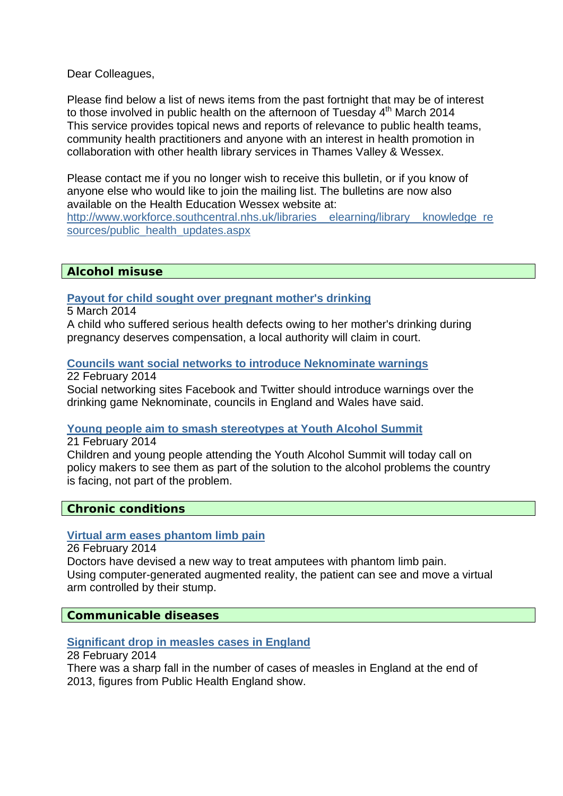Dear Colleagues,

Please find below a list of news items from the past fortnight that may be of interest to those involved in public health on the afternoon of Tuesday  $4<sup>th</sup>$  March 2014 This service provides topical news and reports of relevance to public health teams, community health practitioners and anyone with an interest in health promotion in collaboration with other health library services in Thames Valley & Wessex.

Please contact me if you no longer wish to receive this bulletin, or if you know of anyone else who would like to join the mailing list. The bulletins are now also available on the Health Education Wessex website at:

http://www.workforce.southcentral.nhs.uk/libraries\_elearning/library\_knowledge\_re [sources/public\\_health\\_updates.aspx](http://www.workforce.southcentral.nhs.uk/libraries__elearning/library__knowledge_resources/public_health_updates.aspx)

### **Alcohol misuse**

**[Payout for child sought over pregnant mother's drinking](http://www.bbc.co.uk/news/uk-26031422)**

5 March 2014

A child who suffered serious health defects owing to her mother's drinking during pregnancy deserves compensation, a local authority will claim in court.

### **[Councils want social networks to introduce Neknominate warnings](http://www.bbc.co.uk/news/uk-26299424)**

22 February 2014

Social networking sites Facebook and Twitter should introduce warnings over the drinking game Neknominate, councils in England and Wales have said.

#### **[Young people aim to smash stereotypes at Youth Alcohol Summit](http://www.alcoholconcern.org.uk/media-centre/news/young-people-aim-to-smash-stereotypes-at-youth-alcohol-summit)**

21 February 2014

Children and young people attending the Youth Alcohol Summit will today call on policy makers to see them as part of the solution to the alcohol problems the country is facing, not part of the problem.

#### **Chronic conditions**

#### **[Virtual arm eases phantom limb pain](http://www.bbc.co.uk/news/health-26327457)**

26 February 2014 Doctors have devised a new way to treat amputees with phantom limb pain. Using computer-generated augmented reality, the patient can see and move a virtual arm controlled by their stump.

**Communicable diseases** 

#### **[Significant drop in measles cases in England](http://www.bbc.co.uk/news/health-26369421)**

28 February 2014

There was a sharp fall in the number of cases of measles in England at the end of 2013, figures from Public Health England show.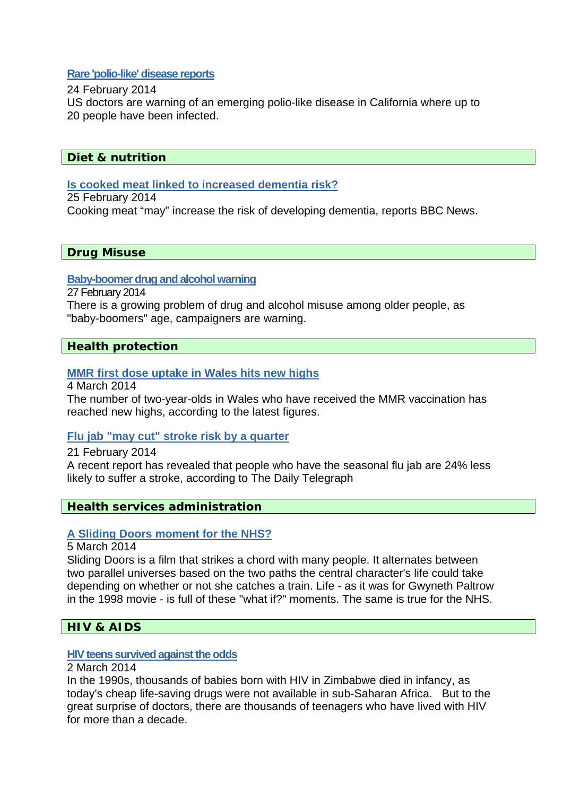### **[Rare 'polio-like' disease reports](http://www.bbc.co.uk/news/health-26289614)**

#### 24 February 2014

US doctors are warning of an emerging polio-like disease in California where up to 20 people have been infected.

### **Diet & nutrition**

# **[Is cooked meat linked to increased dementia risk?](http://www.nhs.uk/news/2014/02February/Pages/Cooking-meat-could-increase-dementia-risk.aspx)**

25 February 2014 Cooking meat "may" increase the risk of developing dementia, reports BBC News.

### **Drug Misuse**

### **[Baby-boomer drug and alcohol warning](http://www.bbc.co.uk/news/health-26353044)**

27 February 2014

There is a growing problem of drug and alcohol misuse among older people, as "baby-boomers" age, campaigners are warning.

# **Health protection**

# **[MMR first dose uptake in Wales hits new highs](http://www.bbc.co.uk/news/uk-wales-26436199)**

4 March 2014

The number of two-year-olds in Wales who have received the MMR vaccination has reached new highs, according to the latest figures.

# **[Flu jab "may cut" stroke risk by a quarter](http://www.nhs.uk/news/2014/02February/Pages/Flu-jab-may-cut-stroke-risk-by-a-quarter.aspx)**

21 February 2014 A recent report has revealed that people who have the seasonal flu jab are 24% less likely to suffer a stroke, according to The Daily Telegraph

# **Health services administration**

#### **[A Sliding Doors moment for the NHS?](http://www.bbc.co.uk/news/health-26432914)**

5 March 2014

Sliding Doors is a film that strikes a chord with many people. It alternates between two parallel universes based on the two paths the central character's life could take depending on whether or not she catches a train. Life - as it was for Gwyneth Paltrow in the 1998 movie - is full of these "what if?" moments. The same is true for the NHS.

# **HIV & AIDS**

#### **[HIV teens survived against the odds](http://www.bbc.co.uk/news/health-26382673)**

# 2 March 2014

In the 1990s, thousands of babies born with HIV in Zimbabwe died in infancy, as today's cheap life-saving drugs were not available in sub-Saharan Africa. But to the great surprise of doctors, there are thousands of teenagers who have lived with HIV for more than a decade.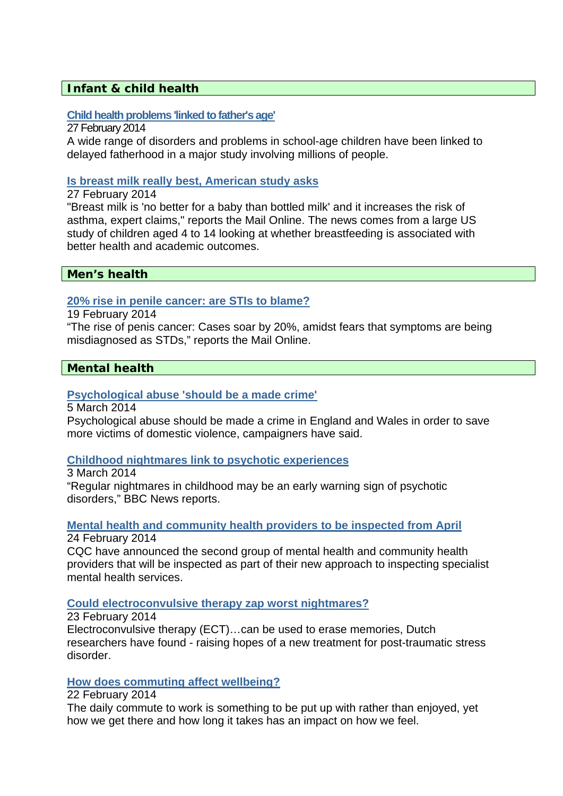# **Infant & child health**

### **[Child health problems 'linked to father's age'](http://www.bbc.co.uk/news/health-26355415)**

27 February 2014

A wide range of disorders and problems in school-age children have been linked to delayed fatherhood in a major study involving millions of people.

### **[Is breast milk really best, American study asks](http://www.nhs.uk/news/2014/02February/Pages/Breast-milk-no-better-than-bottled-researcher-claims.aspx)**

27 February 2014

"Breast milk is 'no better for a baby than bottled milk' and it increases the risk of [asthma](http://www.nhs.uk/conditions/Asthma/Pages/Introduction.aspx), expert claims," reports the Mail Online. The news comes from a large US study of children aged 4 to 14 looking at whether [breastfeeding](http://www.nhs.uk/Conditions/pregnancy-and-baby/Pages/why-breastfeed.aspx) is associated with better health and academic outcomes.

### **Men's health**

### **[20% rise in penile cancer: are STIs to blame?](http://www.nhs.uk/news/2014/02February/Pages/penis-cancer-cases-up-20-percent-between-1979-and-2009.aspx)**

19 February 2014

"The rise of penis cancer: Cases soar by 20%, amidst fears that symptoms are being misdiagnosed as STDs," reports the Mail Online.

# **Mental health**

### **[Psychological abuse 'should be a made crime'](http://www.bbc.co.uk/news/uk-26444731)**

5 March 2014

Psychological abuse should be made a crime in England and Wales in order to save more victims of domestic violence, campaigners have said.

# **[Childhood nightmares link to psychotic experiences](http://www.nhs.uk/news/2014/03March/Pages/Childhood-nightmares-link-to-psychotic-experiences.aspx)**

3 March 2014

"Regular nightmares in childhood may be an early warning sign of psychotic disorders," BBC News reports.

# **[Mental health and community health providers to be inspected from April](http://www.cqc.org.uk/public/news/mental-health-and-community-health-providers-be-inspected-april)**

24 February 2014

CQC have announced the second group of mental health and community health providers that will be inspected as part of their [new approach to inspecting specialist](http://www.cqc.org.uk/media/cqc-unveils-new-approach-inspecting-specialist-mental-health-services)  [mental health services](http://www.cqc.org.uk/media/cqc-unveils-new-approach-inspecting-specialist-mental-health-services).

#### **[Could electroconvulsive therapy zap worst nightmares?](http://www.bbc.co.uk/news/health-26255462)**

23 February 2014 Electroconvulsive therapy (ECT)…can be used to erase memories, Dutch researchers have found - raising hopes of a new treatment for post-traumatic stress disorder.

# **[How does commuting affect wellbeing?](http://www.bbc.co.uk/news/health-26190236)**

### 22 February 2014

The daily commute to work is something to be put up with rather than enjoyed, yet how we get there and how long it takes has an impact on how we feel.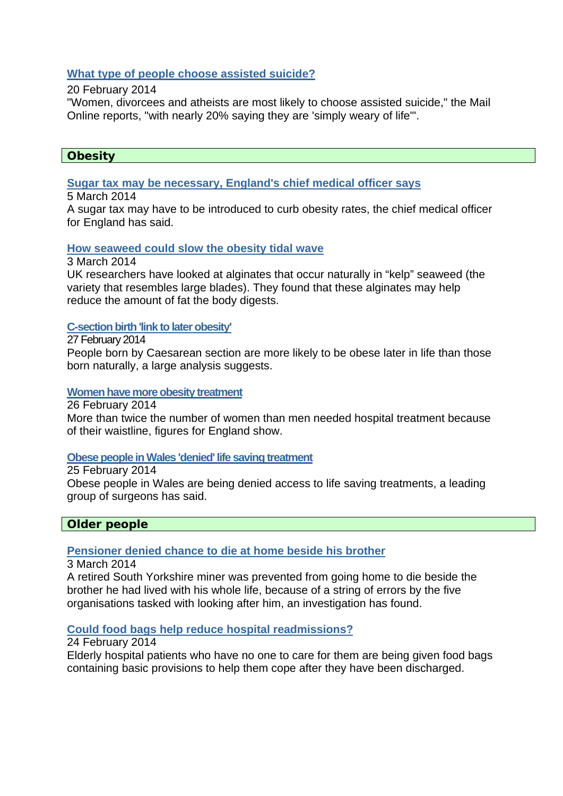# **[What type of people choose assisted suicide?](http://www.nhs.uk/news/2014/02February/Pages/What-type-of-people-choose-assisted-suicide.aspx)**

#### 20 February 2014

"Women, divorcees and atheists are most likely to choose assisted suicide," the Mail Online reports, "with nearly 20% saying they are 'simply weary of life'".

# **Obesity**

# **[Sugar tax may be necessary, England's chief medical officer says](http://www.bbc.co.uk/news/health-26442420)**

# 5 March 2014

A sugar tax may have to be introduced to curb obesity rates, the chief medical officer for England has said.

# **[How seaweed could slow the obesity tidal wave](http://www.nhs.uk/news/2014/03March/Pages/How-seaweed-could-slow-the-obesity-tidal-wave.aspx)**

3 March 2014

UK researchers have looked at alginates that occur naturally in "kelp" seaweed (the variety that resembles large blades). They found that these alginates may help reduce the amount of fat the body digests.

# **[C-section birth 'link to later obesity'](http://www.bbc.co.uk/news/health-26355416)**

27 February 2014

People born by Caesarean section are more likely to be obese later in life than those born naturally, a large analysis suggests.

### **[Women have more obesity treatment](http://www.bbc.co.uk/news/health-26355413)**

26 February 2014

More than twice the number of women than men needed hospital treatment because of their waistline, figures for England show.

# **[Obese people in Wales 'denied' life saving treatment](http://www.bbc.co.uk/news/uk-wales-26334460)**

25 February 2014

Obese people in Wales are being denied access to life saving treatments, a leading group of surgeons has said.

# **Older people**

# **[Pensioner denied chance to die at home beside his brother](http://www.ombudsman.org.uk/about-us/news-centre/press-releases/2014/pensioner-denied-chance-to-die-at-home-beside-his-brother)**

3 March 2014

A retired South Yorkshire miner was prevented from going home to die beside the brother he had lived with his whole life, because of a string of errors by the five organisations tasked with looking after him, an investigation has found.

# **[Could food bags help reduce hospital readmissions?](http://www.bbc.co.uk/news/health-26319506)**

24 February 2014

Elderly hospital patients who have no one to care for them are being given food bags containing basic provisions to help them cope after they have been discharged.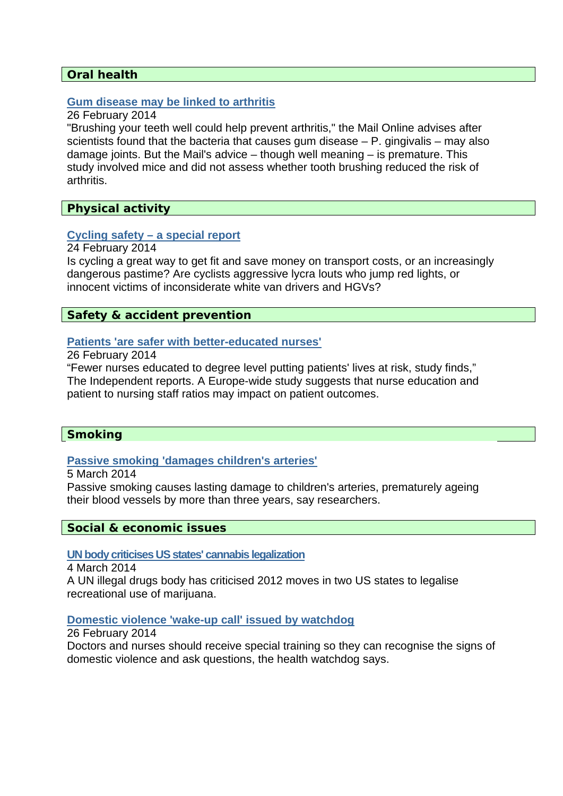# **Oral health**

### **[Gum disease may be linked to arthritis](http://www.nhs.uk/news/2014/02February/Pages/Gum-disease-may-be-linked-to-arthritis.aspx)**

#### 26 February 2014

"Brushing your teeth well could help prevent arthritis," the Mail Online advises after scientists found that the bacteria that causes [gum disease](http://www.nhs.uk/Conditions/Gum-disease/Pages/Introduction.aspx) – P. gingivalis – may also damage joints. But the Mail's advice – though well meaning – is premature. This study involved mice and did not assess whether tooth brushing reduced the risk of arthritis.

### **Physical activity**

# **[Cycling safety – a special report](http://www.nhs.uk/news/2014/02February/Pages/Cycling-safety-a-special-report.aspx)**

24 February 2014

Is cycling a great way to get fit and save money on transport costs, or an increasingly dangerous pastime? Are cyclists aggressive lycra louts who jump red lights, or innocent victims of inconsiderate white van drivers and HGVs?

# **Safety & accident prevention**

### **[Patients 'are safer with better-educated nurses'](http://www.nhs.uk/news/2014/02February/Pages/Fewer-nurses-may-lead-to-increased-mortality-rate.aspx)**

26 February 2014

"Fewer nurses educated to degree level putting patients' lives at risk, study finds," The Independent reports. A Europe-wide study suggests that nurse education and patient to nursing staff ratios may impact on patient outcomes.

# **Smoking**

### **[Passive smoking 'damages children's arteries'](http://www.bbc.co.uk/news/health-26432111)**

5 March 2014

Passive smoking causes lasting damage to children's arteries, prematurely ageing their blood vessels by more than three years, say researchers.

#### **Social & economic issues**

**[UN body criticises US states' cannabis legalization](http://www.bbc.co.uk/news/world-us-canada-26432776)**

4 March 2014

A UN illegal drugs body has criticised 2012 moves in two US states to legalise recreational use of marijuana.

#### **[Domestic violence 'wake-up call' issued by watchdog](http://www.bbc.co.uk/news/education-26340281)**

26 February 2014 Doctors and nurses should receive special training so they can recognise the signs of domestic violence and ask questions, the health watchdog says.